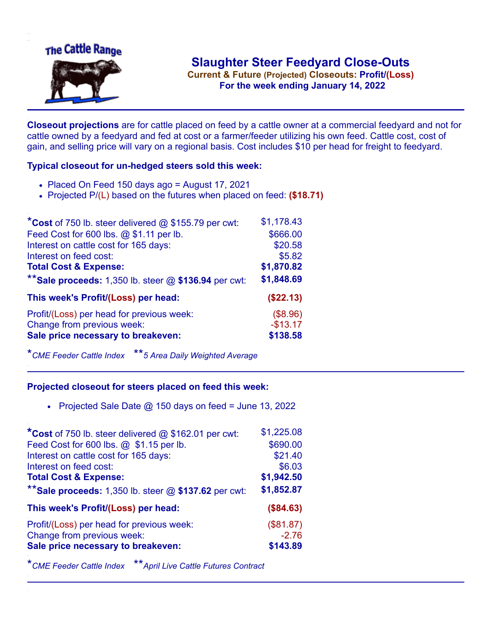

**Current & Future (Projected) Closeouts: Profit/(Loss)** .**For the week ending January 14, 2022**

**Closeout projections** are for cattle placed on feed by a cattle owner at a commercial feedyard and not for cattle owned by a feedyard and fed at cost or a farmer/feeder utilizing his own feed. Cattle cost, cost of gain, and selling price will vary on a regional basis. Cost includes \$10 per head for freight to feedyard.

## **Typical closeout for un-hedged steers sold this week:**

- Placed On Feed 150 days ago = August 17, 2021
- Projected P/(L) based on the futures when placed on feed: **(\$18.71)**

| *Cost of 750 lb. steer delivered $@$ \$155.79 per cwt:  | \$1,178.43 |
|---------------------------------------------------------|------------|
| Feed Cost for 600 lbs. @ \$1.11 per lb.                 | \$666.00   |
| Interest on cattle cost for 165 days:                   | \$20.58    |
| Interest on feed cost:                                  | \$5.82     |
| <b>Total Cost &amp; Expense:</b>                        | \$1,870.82 |
| ** Sale proceeds: 1,350 lb. steer $@$ \$136.94 per cwt: | \$1,848.69 |
| This week's Profit/(Loss) per head:                     | (\$22.13)  |
| Profit/(Loss) per head for previous week:               | (\$8.96)   |
| Change from previous week:                              | $-$13.17$  |
| Sale price necessary to breakeven:                      | \$138.58   |

\**CME Feeder Cattle Index* \*\**5 Area Daily Weighted Average*

## **Projected closeout for steers placed on feed this week:**

• Projected Sale Date  $@$  150 days on feed = June 13, 2022

| *Cost of 750 lb. steer delivered @ \$162.01 per cwt:    | \$1,225.08 |
|---------------------------------------------------------|------------|
| Feed Cost for 600 lbs. @ \$1.15 per lb.                 | \$690.00   |
| Interest on cattle cost for 165 days:                   | \$21.40    |
| Interest on feed cost:                                  | \$6.03     |
| <b>Total Cost &amp; Expense:</b>                        | \$1,942.50 |
| ** Sale proceeds: 1,350 lb. steer $@$ \$137.62 per cwt: | \$1,852.87 |
| This week's Profit/(Loss) per head:                     | (\$84.63)  |
|                                                         |            |
| Profit/(Loss) per head for previous week:               | (\$81.87)  |
| Change from previous week:                              | $-2.76$    |
| Sale price necessary to breakeven:                      | \$143.89   |

\**CME Feeder Cattle Index* \*\**April Live Cattle Futures Contract*